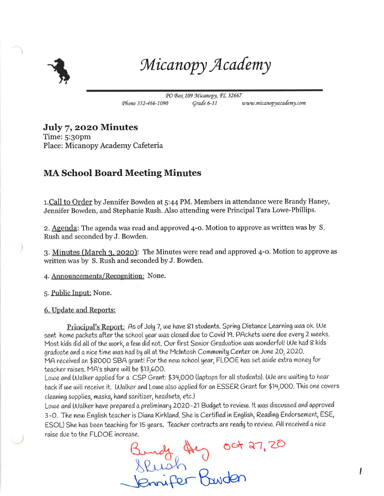

Micanopy Academy

PO Box 109 Micanopy, FL 32667 Phone 352-466-1090 Grade 6-11 www.micanopyacademy.com

## July 7, 2020 Minutes

Time: 5:30pm Place: Micanopy Academy Cafeteria

## **MA School Board Meeting Minutes**

1. Call to Order by Jennifer Bowden at 5:44 PM. Members in attendance were Brandy Haney, Jennifer Bowden, and Stephanie Rush. Also attending were Principal Tara Lowe-Phillips.

2. Agenda: The agenda was read and approved 4-0. Motion to approve as written was by S. Rush and seconded by J. Bowden.

3. Minutes (March 3, 2020): The Minutes were read and approved 4-0. Motion to approve as written was by S. Rush and seconded by J. Bowden.

4. Announcements/Recognition: None.

5. Public Input: None.

6. Update and Reports:

Principal's Report: As of July 7, we have 81 students. Spring Distance Learning was ok. We sent home packets after the school year was closed due to Covid 19. PAckets were due every 2 weeks. Most kids did all of the work, a few did not. Our first Senior Graduation was wonderful! We had 8 kids graduate and a nice time was had by all at the McIntosh Community Center on June 20, 2020. MA received an \$8000 SBA grant! For the new school year, FLDOE has set aside extra money for teacher raises. MA's share will be \$13,600.

Lowe and Walker applied for a CSP Grant: \$34,000 (laptops for all students). We are waiting to hear back if we will receive it. Walker and Lowe also applied for an ESSER Grant for \$14,000. This one covers cleaning supplies, masks, hand sanitizer, headsets, etc.)

Lowe and Walker have prepared a preliminary 2020–21 Budget to review. It was discussed and approved 3-0. The new English teacher is Diana Kirkland. She is Certified in English, Reading Endorsement, ESE, ESOL) She has been teaching for 15 years. Teacher contracts are ready to review. All received a nice raise due to the FLDOE increase.

Study they oct 27, 20